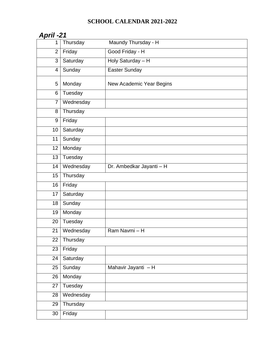#### **SCHOOL CALENDAR 2021-2022**

#### *April -21*

| 1              | Thursday  | Maundy Thursday - H      |
|----------------|-----------|--------------------------|
| $\overline{2}$ | Friday    | Good Friday - H          |
| 3              | Saturday  | Holy Saturday - H        |
| 4              | Sunday    | Easter Sunday            |
| 5              | Monday    | New Academic Year Begins |
| 6              | Tuesday   |                          |
| $\overline{7}$ | Wednesday |                          |
| 8              | Thursday  |                          |
| 9              | Friday    |                          |
| 10             | Saturday  |                          |
| 11             | Sunday    |                          |
| 12             | Monday    |                          |
| 13             | Tuesday   |                          |
| 14             | Wednesday | Dr. Ambedkar Jayanti - H |
| 15             | Thursday  |                          |
| 16             | Friday    |                          |
| 17             | Saturday  |                          |
| 18             | Sunday    |                          |
| 19             | Monday    |                          |
| 20             | Tuesday   |                          |
| 21             | Wednesday | Ram Navmi - H            |
| 22             | Thursday  |                          |
| 23             | Friday    |                          |
| 24             | Saturday  |                          |
| 25             | Sunday    | Mahavir Jayanti - H      |
| 26             | Monday    |                          |
| 27             | Tuesday   |                          |
| 28             | Wednesday |                          |
| 29             | Thursday  |                          |
| 30             | Friday    |                          |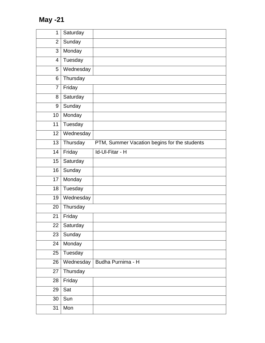# **May -21**

| 1              | Saturday  |                                              |
|----------------|-----------|----------------------------------------------|
| $\overline{2}$ | Sunday    |                                              |
| 3              | Monday    |                                              |
| $\overline{4}$ | Tuesday   |                                              |
| 5              | Wednesday |                                              |
| 6              | Thursday  |                                              |
| $\overline{7}$ | Friday    |                                              |
| 8              | Saturday  |                                              |
| 9              | Sunday    |                                              |
| 10             | Monday    |                                              |
| 11             | Tuesday   |                                              |
| 12             | Wednesday |                                              |
| 13             | Thursday  | PTM, Summer Vacation begins for the students |
| 14             | Friday    | Id-Ul-Fitar - H                              |
| 15             | Saturday  |                                              |
| 16             | Sunday    |                                              |
| 17             | Monday    |                                              |
| 18             | Tuesday   |                                              |
| 19             | Wednesday |                                              |
| 20             | Thursday  |                                              |
| 21             | Friday    |                                              |
| 22             | Saturday  |                                              |
| 23             | Sunday    |                                              |
| 24             | Monday    |                                              |
| 25             | Tuesday   |                                              |
| 26             | Wednesday | Budha Purnima - H                            |
| 27             | Thursday  |                                              |
| 28             | Friday    |                                              |
| 29             | Sat       |                                              |
| 30             | Sun       |                                              |
| 31             | Mon       |                                              |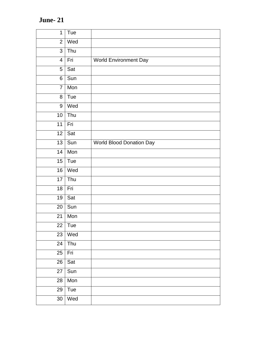# **June- 21**

| $\mathbf{1}$             | Tue |                                 |
|--------------------------|-----|---------------------------------|
| $\overline{2}$           | Wed |                                 |
| 3                        | Thu |                                 |
| $\overline{\mathcal{A}}$ | Fri | <b>World Environment Day</b>    |
| 5                        | Sat |                                 |
| 6                        | Sun |                                 |
| $\overline{7}$           | Mon |                                 |
| 8                        | Tue |                                 |
| 9                        | Wed |                                 |
| 10                       | Thu |                                 |
| 11                       | Fri |                                 |
| 12                       | Sat |                                 |
| 13                       | Sun | <b>World Blood Donation Day</b> |
| 14                       | Mon |                                 |
| 15                       | Tue |                                 |
| 16                       | Wed |                                 |
| 17                       | Thu |                                 |
| 18                       | Fri |                                 |
| 19                       | Sat |                                 |
| 20                       | Sun |                                 |
| 21                       | Mon |                                 |
| 22                       | Tue |                                 |
| 23                       | Wed |                                 |
| 24                       | Thu |                                 |
| 25                       | Fri |                                 |
| 26                       | Sat |                                 |
| 27                       | Sun |                                 |
| 28                       | Mon |                                 |
| 29                       | Tue |                                 |
| 30                       | Wed |                                 |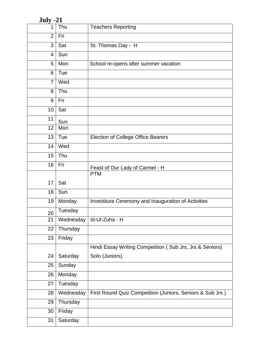# **July -21**

| 1              | Thu       | <b>Teachers Reporting</b>                                 |
|----------------|-----------|-----------------------------------------------------------|
| $\overline{2}$ | Fri       |                                                           |
| 3              | Sat       | St. Thomas Day - H                                        |
| 4              | Sun       |                                                           |
| 5              | Mon       | School re-opens after summer vacation                     |
| 6              | Tue       |                                                           |
| $\overline{7}$ | Wed       |                                                           |
| 8              | Thu       |                                                           |
| 9              | Fri       |                                                           |
| 10             | Sat       |                                                           |
| 11             | Sun       |                                                           |
| 12             | Mon       |                                                           |
| 13             | Tue       | <b>Election of College Office Bearers</b>                 |
| 14             | Wed       |                                                           |
| 15             | Thu       |                                                           |
| 16             | Fri       | Feast of Our Lady of Carmel - H                           |
|                |           | <b>PTM</b>                                                |
| 17             | Sat       |                                                           |
| 18             | Sun       |                                                           |
| 19             | Monday    | Investiture Ceremony and Inauguration of Activities       |
| 20             | Tuesday   |                                                           |
| 21             | Wednesday | Id-Ul-Zuha - H                                            |
| 22             | Thursday  |                                                           |
| 23             | Friday    |                                                           |
|                |           | Hindi Essay Writing Competition (Sub Jrs, Jrs & Seniors)  |
| 24             | Saturday  | Solo (Juniors)                                            |
| 25             | Sunday    |                                                           |
| 26             | Monday    |                                                           |
| 27             | Tuesday   |                                                           |
| 28             | Wednesday | First Round Quiz Competition (Juniors, Seniors & Sub Jrs) |
| 29             | Thursday  |                                                           |
| 30             | Friday    |                                                           |
| 31             | Saturday  |                                                           |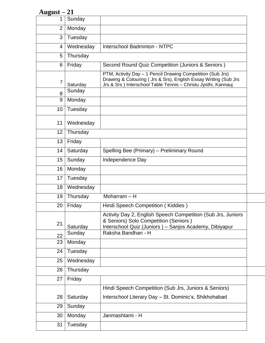## **August – 21**

| 1              | Sunday    |                                                                                                                                                                                                 |  |
|----------------|-----------|-------------------------------------------------------------------------------------------------------------------------------------------------------------------------------------------------|--|
| $\overline{2}$ | Monday    |                                                                                                                                                                                                 |  |
| 3              | Tuesday   |                                                                                                                                                                                                 |  |
| 4              | Wednesday | Interschool Badminton - NTPC                                                                                                                                                                    |  |
| 5              | Thursday  |                                                                                                                                                                                                 |  |
| 6              | Friday    | Second Round Quiz Competition (Juniors & Seniors)                                                                                                                                               |  |
| $\overline{7}$ | Saturday  | PTM, Activity Day - 1 Pencil Drawing Competition (Sub Jrs)<br>Drawing & Colouring ( Jrs & Srs), English Essay Writing (Sub Jrs<br>Jrs & Srs) Interschool Table Tennis - Christu Jyothi, Kannauj |  |
| 8              | Sunday    |                                                                                                                                                                                                 |  |
| 9              | Monday    |                                                                                                                                                                                                 |  |
| 10             | Tuesday   |                                                                                                                                                                                                 |  |
| 11             | Wednesday |                                                                                                                                                                                                 |  |
| 12             | Thursday  |                                                                                                                                                                                                 |  |
| 13             | Friday    |                                                                                                                                                                                                 |  |
| 14             | Saturday  | Spelling Bee (Primary) - Preliminary Round                                                                                                                                                      |  |
| 15             | Sunday    | Independence Day                                                                                                                                                                                |  |
| 16             | Monday    |                                                                                                                                                                                                 |  |
| 17             | Tuesday   |                                                                                                                                                                                                 |  |
| 18             | Wednesday |                                                                                                                                                                                                 |  |
| 19             | Thursday  | Moharram $- H$                                                                                                                                                                                  |  |
| 20             | Friday    | Hindi Speech Competition (Kiddies)                                                                                                                                                              |  |
| 21             | Saturday  | Activity Day 2, English Speech Competition (Sub Jrs, Juniors<br>& Seniors) Solo Competition (Seniors)<br>Interschool Quiz (Juniors) - Sanjos Academy, Dibiyapur                                 |  |
| 22             | Sunday    | Raksha Bandhan - H                                                                                                                                                                              |  |
| 23             | Monday    |                                                                                                                                                                                                 |  |
| 24             | Tuesday   |                                                                                                                                                                                                 |  |
| 25             | Wednesday |                                                                                                                                                                                                 |  |
| 26             | Thursday  |                                                                                                                                                                                                 |  |
| 27             | Friday    |                                                                                                                                                                                                 |  |
|                |           | Hindi Speech Competition (Sub Jrs, Juniors & Seniors)                                                                                                                                           |  |
| 28             | Saturday  | Interschool Literary Day - St. Dominic's, Shikhohabad                                                                                                                                           |  |
| 29             | Sunday    |                                                                                                                                                                                                 |  |
| 30             | Monday    | Janmashtami - H                                                                                                                                                                                 |  |
| 31             | Tuesday   |                                                                                                                                                                                                 |  |
|                |           |                                                                                                                                                                                                 |  |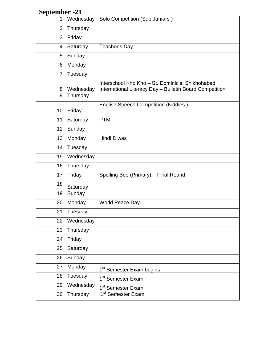### **September -21**

| 1              | Wednesday | Solo Competition (Sub Juniors)                          |  |
|----------------|-----------|---------------------------------------------------------|--|
| $\overline{2}$ | Thursday  |                                                         |  |
| 3              | Friday    |                                                         |  |
| 4              | Saturday  | Teacher's Day                                           |  |
| 5              | Sunday    |                                                         |  |
| 6              | Monday    |                                                         |  |
| $\overline{7}$ | Tuesday   |                                                         |  |
|                |           | Interschool Kho Kho - St. Dominic's, Shikhohabad        |  |
| 8<br>9         | Wednesday | International Literacy Day - Bulletin Board Competition |  |
|                | Thursday  |                                                         |  |
| 10             | Friday    | <b>English Speech Competition (Kiddies)</b>             |  |
| 11             | Saturday  | <b>PTM</b>                                              |  |
| 12             | Sunday    |                                                         |  |
| 13             | Monday    | <b>Hindi Diwas</b>                                      |  |
| 14             | Tuesday   |                                                         |  |
| 15             | Wednesday |                                                         |  |
| 16             | Thursday  |                                                         |  |
| 17             | Friday    | Spelling Bee (Primary) - Final Round                    |  |
| 18             | Saturday  |                                                         |  |
| 19             | Sunday    |                                                         |  |
| 20             | Monday    | <b>World Peace Day</b>                                  |  |
| 21             | Tuesday   |                                                         |  |
| 22             | Wednesday |                                                         |  |
| 23             | Thursday  |                                                         |  |
| 24             | Friday    |                                                         |  |
| 25             | Saturday  |                                                         |  |
| 26             | Sunday    |                                                         |  |
| 27             | Monday    | 1 <sup>st</sup> Semester Exam begins                    |  |
| 28             | Tuesday   | 1 <sup>st</sup> Semester Exam                           |  |
| 29             | Wednesday | 1 <sup>st</sup> Semester Exam                           |  |
| $30\,$         | Thursday  | 1 <sup>st</sup> Semester Exam                           |  |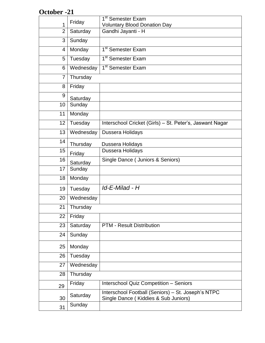### **October -21**

| 1              | 1 <sup>st</sup> Semester Exam<br>Friday<br><b>Voluntary Blood Donation Day</b> |                                                                                            |
|----------------|--------------------------------------------------------------------------------|--------------------------------------------------------------------------------------------|
| $\overline{2}$ | Saturday                                                                       | Gandhi Jayanti - H                                                                         |
| 3              | Sunday                                                                         |                                                                                            |
| 4              | Monday                                                                         | 1 <sup>st</sup> Semester Exam                                                              |
| 5              | Tuesday                                                                        | 1 <sup>st</sup> Semester Exam                                                              |
| 6              | Wednesday                                                                      | 1 <sup>st</sup> Semester Exam                                                              |
| $\overline{7}$ | Thursday                                                                       |                                                                                            |
| 8              | Friday                                                                         |                                                                                            |
| 9              | Saturday                                                                       |                                                                                            |
| 10             | Sunday                                                                         |                                                                                            |
| 11             | Monday                                                                         |                                                                                            |
| 12             | Tuesday                                                                        | Interschool Cricket (Girls) - St. Peter's, Jaswant Nagar                                   |
| 13             | Wednesday                                                                      | Dussera Holidays                                                                           |
| 14             | Thursday                                                                       | Dussera Holidays                                                                           |
| 15             | Friday                                                                         | Dussera Holidays                                                                           |
| 16             | Saturday                                                                       | Single Dance ( Juniors & Seniors)                                                          |
| 17             | Sunday                                                                         |                                                                                            |
| 18             | Monday                                                                         |                                                                                            |
| 19             | Tuesday                                                                        | Id-E-Milad - H                                                                             |
| 20             | Wednesday                                                                      |                                                                                            |
| 21             | Thursday                                                                       |                                                                                            |
| 22             | Friday                                                                         |                                                                                            |
| 23             | Saturday                                                                       | <b>PTM - Result Distribution</b>                                                           |
| 24             | Sunday                                                                         |                                                                                            |
| 25             | Monday                                                                         |                                                                                            |
| 26             | Tuesday                                                                        |                                                                                            |
| 27             | Wednesday                                                                      |                                                                                            |
| 28             | Thursday                                                                       |                                                                                            |
| 29             | Friday                                                                         | Interschool Quiz Competition - Seniors                                                     |
| 30             | Saturday                                                                       | Interschool Football (Seniors) - St. Joseph's NTPC<br>Single Dance (Kiddies & Sub Juniors) |
| 31             | Sunday                                                                         |                                                                                            |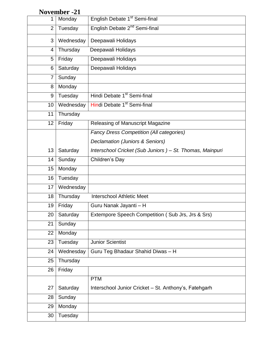#### **November -21**

| $\mathbf 1$    | Monday                                               | English Debate 1 <sup>st</sup> Semi-final                |  |
|----------------|------------------------------------------------------|----------------------------------------------------------|--|
| $\overline{2}$ | English Debate 2 <sup>nd</sup> Semi-final<br>Tuesday |                                                          |  |
| 3              | Wednesday                                            | Deepawali Holidays                                       |  |
| 4              | Thursday                                             | Deepawali Holidays                                       |  |
| 5              | Friday                                               | Deepawali Holidays                                       |  |
| 6              | Saturday                                             | Deepawali Holidays                                       |  |
| 7              | Sunday                                               |                                                          |  |
| 8              | Monday                                               |                                                          |  |
| 9              | Tuesday                                              | Hindi Debate 1 <sup>st</sup> Semi-final                  |  |
| 10             | Wednesday                                            | Hindi Debate 1 <sup>st</sup> Semi-final                  |  |
| 11             | Thursday                                             |                                                          |  |
| 12             | Friday                                               | Releasing of Manuscript Magazine                         |  |
|                |                                                      | <b>Fancy Dress Competition (All categories)</b>          |  |
|                |                                                      | Declamation (Juniors & Seniors)                          |  |
| 13             | Saturday                                             | Interschool Cricket (Sub Juniors) - St. Thomas, Mainpuri |  |
| 14             | Sunday                                               | Children's Day                                           |  |
| 15             | Monday                                               |                                                          |  |
| 16             | Tuesday                                              |                                                          |  |
| 17             | Wednesday                                            |                                                          |  |
| 18             | Thursday                                             | <b>Interschool Athletic Meet</b>                         |  |
| 19             | Friday                                               | Guru Nanak Jayanti - H                                   |  |
| 20             | Saturday                                             | Extempore Speech Competition (Sub Jrs, Jrs & Srs)        |  |
| 21             | Sunday                                               |                                                          |  |
| 22             | Monday                                               |                                                          |  |
| 23             | Tuesday                                              | <b>Junior Scientist</b>                                  |  |
| 24             | Wednesday                                            | Guru Teg Bhadaur Shahid Diwas - H                        |  |
| 25             | Thursday                                             |                                                          |  |
| 26             | Friday                                               |                                                          |  |
|                |                                                      | <b>PTM</b>                                               |  |
| 27             | Saturday                                             | Interschool Junior Cricket - St. Anthony's, Fatehgarh    |  |
| 28             | Sunday                                               |                                                          |  |
| 29             | Monday                                               |                                                          |  |
| 30             | Tuesday                                              |                                                          |  |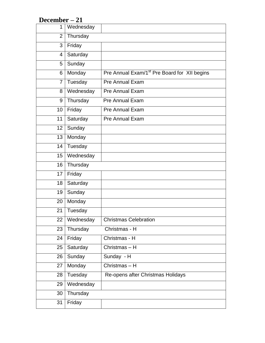## **December – 21**

| 1               | Wednesday |                                                          |
|-----------------|-----------|----------------------------------------------------------|
| $\overline{2}$  | Thursday  |                                                          |
| 3               | Friday    |                                                          |
| 4               | Saturday  |                                                          |
| 5               | Sunday    |                                                          |
| 6               | Monday    | Pre Annual Exam/1 <sup>st</sup> Pre Board for XII begins |
| $\overline{7}$  | Tuesday   | Pre Annual Exam                                          |
| 8               | Wednesday | <b>Pre Annual Exam</b>                                   |
| 9               | Thursday  | <b>Pre Annual Exam</b>                                   |
| 10              | Friday    | <b>Pre Annual Exam</b>                                   |
| 11              | Saturday  | Pre Annual Exam                                          |
| 12 <sup>2</sup> | Sunday    |                                                          |
| 13              | Monday    |                                                          |
| 14              | Tuesday   |                                                          |
| 15              | Wednesday |                                                          |
| 16              | Thursday  |                                                          |
| 17              | Friday    |                                                          |
| 18              | Saturday  |                                                          |
| 19              | Sunday    |                                                          |
| 20              | Monday    |                                                          |
| 21              | Tuesday   |                                                          |
| 22              | Wednesday | <b>Christmas Celebration</b>                             |
| 23              | Thursday  | Christmas - H                                            |
| 24              | Friday    | Christmas - H                                            |
| 25              | Saturday  | Christmas-H                                              |
| 26              | Sunday    | Sunday - H                                               |
| 27              | Monday    | Christmas $- H$                                          |
| 28              | Tuesday   | Re-opens after Christmas Holidays                        |
| 29              | Wednesday |                                                          |
| 30              | Thursday  |                                                          |
| 31              | Friday    |                                                          |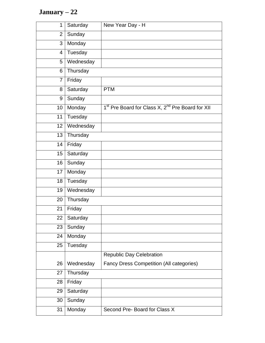# **January – 22**

| 1              | Saturday      | New Year Day - H                                                         |
|----------------|---------------|--------------------------------------------------------------------------|
| $\overline{2}$ | Sunday        |                                                                          |
| 3              | Monday        |                                                                          |
| 4              | Tuesday       |                                                                          |
| 5              | Wednesday     |                                                                          |
| 6              | Thursday      |                                                                          |
| $\overline{7}$ | Friday        |                                                                          |
| 8              | Saturday      | <b>PTM</b>                                                               |
| 9              | Sunday        |                                                                          |
| 10             | Monday        | 1 <sup>st</sup> Pre Board for Class X, 2 <sup>nd</sup> Pre Board for XII |
| 11             | Tuesday       |                                                                          |
| 12             | Wednesday     |                                                                          |
| 13             | Thursday      |                                                                          |
| 14             | Friday        |                                                                          |
| 15             | Saturday      |                                                                          |
| 16             | Sunday        |                                                                          |
| 17             | Monday        |                                                                          |
| 18             | Tuesday       |                                                                          |
| 19             | Wednesday     |                                                                          |
| 20             | Thursday      |                                                                          |
| 21             | Friday        |                                                                          |
|                | 22   Saturday |                                                                          |
| 23             | Sunday        |                                                                          |
| 24             | Monday        |                                                                          |
| 25             | Tuesday       |                                                                          |
|                |               | <b>Republic Day Celebration</b>                                          |
| 26             | Wednesday     | <b>Fancy Dress Competition (All categories)</b>                          |
| 27             | Thursday      |                                                                          |
| 28             | Friday        |                                                                          |
| 29             | Saturday      |                                                                          |
| 30             | Sunday        |                                                                          |
| 31             | Monday        | Second Pre- Board for Class X                                            |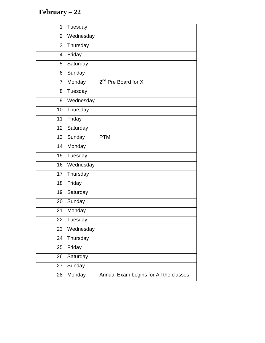# **February – 22**

| $\mathbf{1}$   | Tuesday   |                                        |
|----------------|-----------|----------------------------------------|
| $\overline{2}$ | Wednesday |                                        |
| 3              | Thursday  |                                        |
| $\overline{4}$ | Friday    |                                        |
| 5              | Saturday  |                                        |
| 6              | Sunday    |                                        |
| $\overline{7}$ | Monday    | $2nd$ Pre Board for X                  |
| 8              | Tuesday   |                                        |
| 9              | Wednesday |                                        |
| 10             | Thursday  |                                        |
| 11             | Friday    |                                        |
| 12             | Saturday  |                                        |
| 13             | Sunday    | <b>PTM</b>                             |
| 14             | Monday    |                                        |
| 15             | Tuesday   |                                        |
| 16             | Wednesday |                                        |
| 17             | Thursday  |                                        |
| 18             | Friday    |                                        |
| 19             | Saturday  |                                        |
| 20             | Sunday    |                                        |
| 21             | Monday    |                                        |
| 22             | Tuesday   |                                        |
| 23             | Wednesday |                                        |
| 24             | Thursday  |                                        |
| 25             | Friday    |                                        |
| 26             | Saturday  |                                        |
| 27             | Sunday    |                                        |
| 28             | Monday    | Annual Exam begins for All the classes |